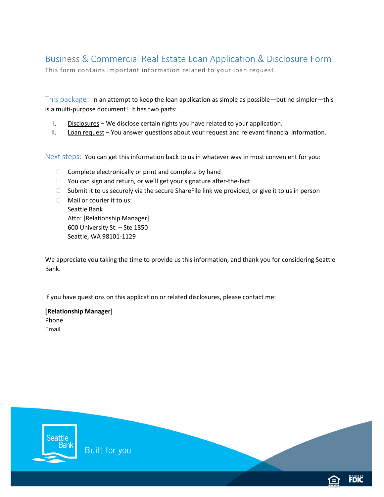# Business & Commercial Real Estate Loan Application & Disclosure Form

This form contains important information related to your loan request.

This package: In an attempt to keep the loan application as simple as possible—but no simpler—this is a multi-purpose document! It has two parts:

- I. Disclosures We disclose certain rights you have related to your application.
- II. Loan request You answer questions about your request and relevant financial information.

Next steps: You can get this information back to us in whatever way in most convenient for you:

- $\Box$  Complete electronically or print and complete by hand
- □ You can sign and return, or we'll get your signature after-the-fact
- $\Box$  Submit it to us securely via the secure ShareFile link we provided, or give it to us in person
- □ Mail or courier it to us: Seattle Bank Attn: [Relationship Manager] 600 University St. – Ste 1850 Seattle, WA 98101-1129

We appreciate you taking the time to provide us this information, and thank you for considering Seattle Bank.

If you have questions on this application or related disclosures, please contact me:

**[Relationship Manager]** Phone Email

eattle 3ank Built for you **FDIC**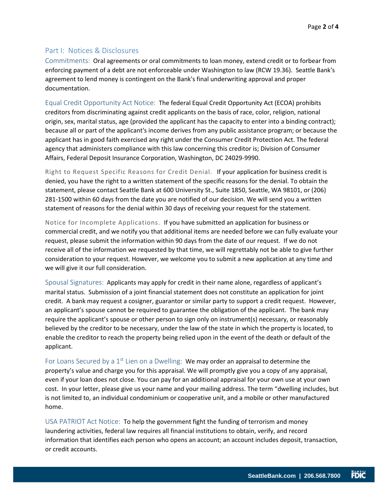### Part I: Notices & Disclosures

Commitments: Oral agreements or oral commitments to loan money, extend credit or to forbear from enforcing payment of a debt are not enforceable under Washington to law (RCW 19.36). Seattle Bank's agreement to lend money is contingent on the Bank's final underwriting approval and proper documentation.

Equal Credit Opportunity Act Notice: The federal Equal Credit Opportunity Act (ECOA) prohibits creditors from discriminating against credit applicants on the basis of race, color, religion, national origin, sex, marital status, age (provided the applicant has the capacity to enter into a binding contract); because all or part of the applicant's income derives from any public assistance program; or because the applicant has in good faith exercised any right under the Consumer Credit Protection Act. The federal agency that administers compliance with this law concerning this creditor is; Division of Consumer Affairs, Federal Deposit Insurance Corporation, Washington, DC 24029-9990.

Right to Request Specific Reasons for Credit Denial. If your application for business credit is denied, you have the right to a written statement of the specific reasons for the denial. To obtain the statement, please contact Seattle Bank at 600 University St., Suite 1850, Seattle, WA 98101, or (206) 281-1500 within 60 days from the date you are notified of our decision. We will send you a written statement of reasons for the denial within 30 days of receiving your request for the statement.

Notice for Incomplete Applications. If you have submitted an application for business or commercial credit, and we notify you that additional items are needed before we can fully evaluate your request, please submit the information within 90 days from the date of our request. If we do not receive all of the information we requested by that time, we will regrettably not be able to give further consideration to your request. However, we welcome you to submit a new application at any time and we will give it our full consideration.

Spousal Signatures: Applicants may apply for credit in their name alone, regardless of applicant's marital status. Submission of a joint financial statement does not constitute an application for joint credit. A bank may request a cosigner, guarantor or similar party to support a credit request. However, an applicant's spouse cannot be required to guarantee the obligation of the applicant. The bank may require the applicant's spouse or other person to sign only on instrument(s) necessary, or reasonably believed by the creditor to be necessary, under the law of the state in which the property is located, to enable the creditor to reach the property being relied upon in the event of the death or default of the applicant.

For Loans Secured by a  $1<sup>st</sup>$  Lien on a Dwelling: We may order an appraisal to determine the property's value and charge you for this appraisal. We will promptly give you a copy of any appraisal, even if your loan does not close. You can pay for an additional appraisal for your own use at your own cost. In your letter, please give us your name and your mailing address. The term "dwelling includes, but is not limited to, an individual condominium or cooperative unit, and a mobile or other manufactured home.

USA PATRIOT Act Notice: To help the government fight the funding of terrorism and money laundering activities, federal law requires all financial institutions to obtain, verify, and record information that identifies each person who opens an account; an account includes deposit, transaction, or credit accounts.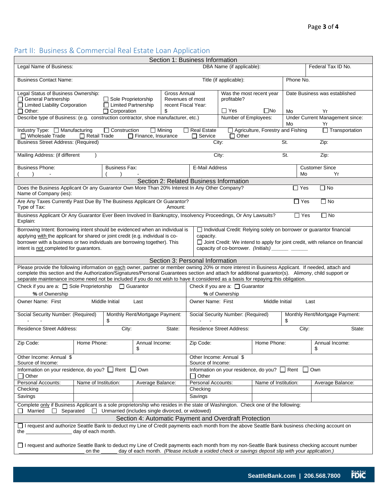## Part II: Business & Commercial Real Estate Loan Application

| Section 1: Business Information                                                                                                                                                                                                                                                                                                                                                                                                                  |                      |                        |                                |                                  |                                                                         |                                                                                                                                                     |                               |                    |                                       |  |
|--------------------------------------------------------------------------------------------------------------------------------------------------------------------------------------------------------------------------------------------------------------------------------------------------------------------------------------------------------------------------------------------------------------------------------------------------|----------------------|------------------------|--------------------------------|----------------------------------|-------------------------------------------------------------------------|-----------------------------------------------------------------------------------------------------------------------------------------------------|-------------------------------|--------------------|---------------------------------------|--|
| Legal Name of Business:                                                                                                                                                                                                                                                                                                                                                                                                                          |                      |                        |                                | DBA Name (if applicable):        |                                                                         |                                                                                                                                                     |                               | Federal Tax ID No. |                                       |  |
| <b>Business Contact Name:</b>                                                                                                                                                                                                                                                                                                                                                                                                                    |                      | Title (if applicable): |                                | Phone No.                        |                                                                         |                                                                                                                                                     |                               |                    |                                       |  |
| Legal Status of Business Ownership:<br>Gross Annual<br>General Partnership<br>$\Box$ Sole Proprietorship<br>Revenues of most<br>□ Limited Liability Corporation<br>□ Limited Partnership<br>recent Fiscal Year:                                                                                                                                                                                                                                  |                      |                        |                                |                                  | Was the most recent year<br>profitable?                                 |                                                                                                                                                     | Date Business was established |                    |                                       |  |
| \$<br>$\Box$ Other:<br>$\Box$ Corporation                                                                                                                                                                                                                                                                                                                                                                                                        |                      |                        |                                |                                  |                                                                         | $\Box$ Yes                                                                                                                                          | $\square$ No                  | Mo                 | Yr                                    |  |
| Describe type of Business: (e.g. construction contractor, shoe manufacturer, etc.)                                                                                                                                                                                                                                                                                                                                                               |                      |                        |                                |                                  |                                                                         | Number of Employees:                                                                                                                                |                               | Mo                 | Under Current Management since:<br>Yr |  |
| Construction<br>Agriculture, Forestry and Fishing<br>Transportation<br>Industry Type: □ Manufacturing<br>$\Box$ Real Estate<br>$\Box$ Mining<br>$\Box$ Retail Trade<br>Finance, Insurance<br>$\Box$ Service<br>$\Box$ Other<br>$\Box$ Wholesale Trade                                                                                                                                                                                            |                      |                        |                                |                                  |                                                                         |                                                                                                                                                     |                               |                    |                                       |  |
| <b>Business Street Address: (Required)</b><br>St.<br>City:<br>Zip:                                                                                                                                                                                                                                                                                                                                                                               |                      |                        |                                |                                  |                                                                         |                                                                                                                                                     |                               |                    |                                       |  |
| Mailing Address: (if different                                                                                                                                                                                                                                                                                                                                                                                                                   |                      |                        |                                |                                  |                                                                         | City:                                                                                                                                               |                               | St.                | Zip:                                  |  |
| <b>Business Phone:</b>                                                                                                                                                                                                                                                                                                                                                                                                                           |                      | <b>Business Fax:</b>   |                                |                                  | E-Mail Address                                                          |                                                                                                                                                     |                               | Mo                 | <b>Customer Since</b><br>Yr           |  |
|                                                                                                                                                                                                                                                                                                                                                                                                                                                  |                      |                        |                                |                                  |                                                                         | Section 2: Related Business Information                                                                                                             |                               |                    |                                       |  |
| Does the Business Applicant Or any Guarantor Own More Than 20% Interest In Any Other Company?<br>$\Box$ No<br>$\Box$ Yes<br>Name of Company (ies):                                                                                                                                                                                                                                                                                               |                      |                        |                                |                                  |                                                                         |                                                                                                                                                     |                               |                    |                                       |  |
| Are Any Taxes Currently Past Due By The Business Applicant Or Guarantor?<br>$\Box$ No<br>$\sqcap$ Yes<br>Type of Tax:<br>Amount:                                                                                                                                                                                                                                                                                                                 |                      |                        |                                |                                  |                                                                         |                                                                                                                                                     |                               |                    |                                       |  |
| Business Applicant Or Any Guarantor Ever Been Involved In Bankruptcy, Insolvency Proceedings, Or Any Lawsuits?<br>$\Box$ Yes<br>$\Box$ No                                                                                                                                                                                                                                                                                                        |                      |                        |                                |                                  |                                                                         |                                                                                                                                                     |                               |                    |                                       |  |
| Explain:<br>□ Individual Credit: Relying solely on borrower or guarantor financial<br>Borrowing Intent: Borrowing intent should be evidenced when an individual is                                                                                                                                                                                                                                                                               |                      |                        |                                |                                  |                                                                         |                                                                                                                                                     |                               |                    |                                       |  |
| applying with the applicant for shared or joint credit (e.g. individual is co-<br>borrower with a business or two individuals are borrowing together). This<br>intent is not completed for guarantors.                                                                                                                                                                                                                                           |                      |                        |                                |                                  |                                                                         | capacity.<br>Joint Credit: We intend to apply for joint credit, with reliance on financial<br>capacity of co-borrower. (Initials) ________ ________ |                               |                    |                                       |  |
| Section 3: Personal Information                                                                                                                                                                                                                                                                                                                                                                                                                  |                      |                        |                                |                                  |                                                                         |                                                                                                                                                     |                               |                    |                                       |  |
| Please provide the following information on each owner, partner or member owning 20% or more interest in Business Applicant. If needed, attach and<br>complete this section and the Authorization/Signatures/Personal Guarantees section and attach for additional guarantor(s). Alimony, child support or<br>separate maintenance income need not be included if you do not wish to have it considered as a basis for repaying this obligation. |                      |                        |                                |                                  |                                                                         |                                                                                                                                                     |                               |                    |                                       |  |
| Check if you are a: □ Sole Proprietorship □ Guarantor<br>Check if you are a: $\Box$ Guarantor                                                                                                                                                                                                                                                                                                                                                    |                      |                        |                                |                                  |                                                                         |                                                                                                                                                     |                               |                    |                                       |  |
| % of Ownership                                                                                                                                                                                                                                                                                                                                                                                                                                   |                      |                        | % of Ownership                 |                                  |                                                                         |                                                                                                                                                     |                               |                    |                                       |  |
| Owner Name: First<br>Middle Initial<br>Owner Name: First<br>Middle Initial<br>Last<br>Last                                                                                                                                                                                                                                                                                                                                                       |                      |                        |                                |                                  |                                                                         |                                                                                                                                                     |                               |                    |                                       |  |
| Social Security Number: (Required)<br>\$                                                                                                                                                                                                                                                                                                                                                                                                         |                      |                        | Monthly Rent/Mortgage Payment: |                                  | Social Security Number: (Required)                                      |                                                                                                                                                     |                               | \$                 | Monthly Rent/Mortgage Payment:        |  |
| <b>Residence Street Address:</b><br>City:                                                                                                                                                                                                                                                                                                                                                                                                        |                      |                        | State:                         | <b>Residence Street Address:</b> |                                                                         |                                                                                                                                                     | City:<br>State:               |                    |                                       |  |
| Zip Code:                                                                                                                                                                                                                                                                                                                                                                                                                                        | Home Phone:          |                        | Annual Income:<br>\$           |                                  | Zip Code:                                                               |                                                                                                                                                     | Home Phone:                   |                    | Annual Income:<br>\$                  |  |
| Other Income: Annual \$                                                                                                                                                                                                                                                                                                                                                                                                                          |                      |                        |                                |                                  | Other Income: Annual \$                                                 |                                                                                                                                                     |                               |                    |                                       |  |
| Source of Income:<br>Information on your residence, do you? Rent<br>Own                                                                                                                                                                                                                                                                                                                                                                          |                      |                        |                                |                                  | Source of Income:<br>Information on your residence, do you? Rent<br>Own |                                                                                                                                                     |                               |                    |                                       |  |
| Other<br>$\blacksquare$<br>Personal Accounts:                                                                                                                                                                                                                                                                                                                                                                                                    | Name of Institution: |                        |                                |                                  | Other<br>Personal Accounts:                                             |                                                                                                                                                     | Name of Institution:          |                    | Average Balance:                      |  |
| Checking                                                                                                                                                                                                                                                                                                                                                                                                                                         |                      |                        | Average Balance:               |                                  | Checking                                                                |                                                                                                                                                     |                               |                    |                                       |  |
| Savings                                                                                                                                                                                                                                                                                                                                                                                                                                          |                      |                        |                                |                                  | Savings                                                                 |                                                                                                                                                     |                               |                    |                                       |  |
| Complete only if Business Applicant is a sole proprietorship who resides in the state of Washington. Check one of the following:<br>Unmarried (includes single divorced, or widowed)<br>Married<br>$\Box$ Separated<br>$\Box$                                                                                                                                                                                                                    |                      |                        |                                |                                  |                                                                         |                                                                                                                                                     |                               |                    |                                       |  |
| Section 4: Automatic Payment and Overdraft Protection                                                                                                                                                                                                                                                                                                                                                                                            |                      |                        |                                |                                  |                                                                         |                                                                                                                                                     |                               |                    |                                       |  |
| □ I request and authorize Seattle Bank to deduct my Line of Credit payments each month from the above Seattle Bank business checking account on<br>day of each month.<br>the                                                                                                                                                                                                                                                                     |                      |                        |                                |                                  |                                                                         |                                                                                                                                                     |                               |                    |                                       |  |
|                                                                                                                                                                                                                                                                                                                                                                                                                                                  |                      |                        |                                |                                  |                                                                         |                                                                                                                                                     |                               |                    |                                       |  |
| □ I request and authorize Seattle Bank to deduct my Line of Credit payments each month from my non-Seattle Bank business checking account number<br>day of each month. (Please include a voided check or savings deposit slip with your application.)<br>on the                                                                                                                                                                                  |                      |                        |                                |                                  |                                                                         |                                                                                                                                                     |                               |                    |                                       |  |